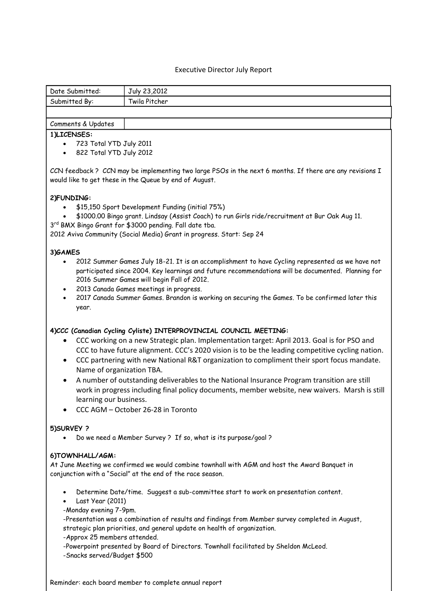## Executive Director July Report

| Date Submitted: | July 23,2012  |
|-----------------|---------------|
| Submitted By:   | Twila Pitcher |
|                 |               |

## Comments & Updates

#### **1)LICENSES:**

- 723 Total YTD July 2011
- 822 Total YTD July 2012

CCN feedback ? CCN may be implementing two large PSOs in the next 6 months. If there are any revisions I would like to get these in the Queue by end of August.

### **2)FUNDING:**

- \$15,150 Sport Development Funding (initial 75%)
- \$1000.00 Bingo grant. Lindsay (Assist Coach) to run Girls ride/recruitment at Bur Oak Aug 11.

3<sup>rd</sup> BMX Bingo Grant for \$3000 pending. Fall date tba.

2012 Aviva Community (Social Media) Grant in progress. Start: Sep 24

### **3)GAMES**

- 2012 Summer Games July 18-21. It is an accomplishment to have Cycling represented as we have not participated since 2004. Key learnings and future recommendations will be documented. Planning for 2016 Summer Games will begin Fall of 2012.
- 2013 Canada Games meetings in progress.
- 2017 Canada Summer Games. Brandon is working on securing the Games. To be confirmed later this year.

### **4)CCC (Canadian Cycling Cyliste) INTERPROVINCIAL COUNCIL MEETING:**

- CCC working on a new Strategic plan. Implementation target: April 2013. Goal is for PSO and CCC to have future alignment. CCC's 2020 vision is to be the leading competitive cycling nation.
- CCC partnering with new National R&T organization to compliment their sport focus mandate. Name of organization TBA.
- A number of outstanding deliverables to the National Insurance Program transition are still work in progress including final policy documents, member website, new waivers. Marsh is still learning our business.
- CCC AGM October 26-28 in Toronto

# **5)SURVEY ?**

Do we need a Member Survey ? If so, what is its purpose/goal ?

### **6)TOWNHALL/AGM:**

At June Meeting we confirmed we would combine townhall with AGM and host the Award Banquet in conjunction with a "Social" at the end of the race season.

- Determine Date/time. Suggest a sub-committee start to work on presentation content.
- Last Year (2011)
- -Monday evening 7-9pm.

-Presentation was a combination of results and findings from Member survey completed in August, strategic plan priorities, and general update on health of organization.

- -Approx 25 members attended.
- -Powerpoint presented by Board of Directors. Townhall facilitated by Sheldon McLeod. -Snacks served/Budget \$500